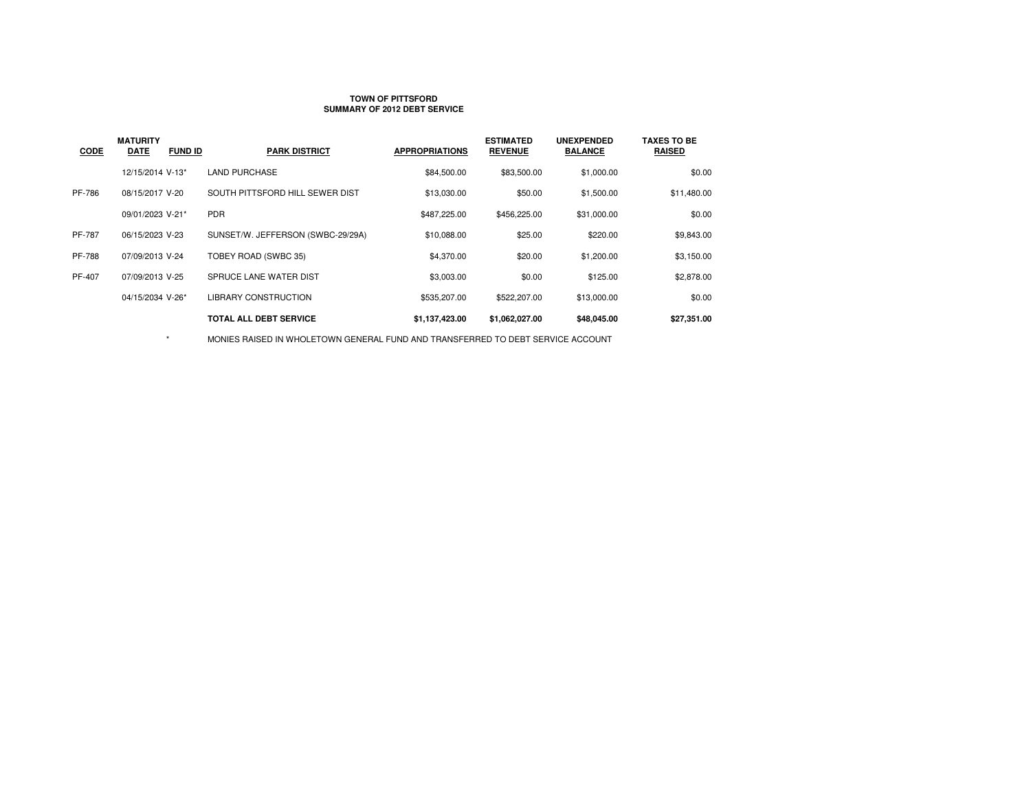#### **TOWN OF PITTSFORDSUMMARY OF 2012 DEBT SERVICE**

| <b>CODE</b>   | <b>MATURITY</b><br><b>DATE</b><br><b>FUND ID</b> | <b>PARK DISTRICT</b>              | <b>APPROPRIATIONS</b> | <b>ESTIMATED</b><br><b>REVENUE</b> | <b>UNEXPENDED</b><br><b>BALANCE</b> | <b>TAXES TO BE</b><br><b>RAISED</b> |
|---------------|--------------------------------------------------|-----------------------------------|-----------------------|------------------------------------|-------------------------------------|-------------------------------------|
|               | 12/15/2014 V-13*                                 | <b>LAND PURCHASE</b>              | \$84,500.00           | \$83,500.00                        | \$1,000.00                          | \$0.00                              |
| PF-786        | 08/15/2017 V-20                                  | SOUTH PITTSFORD HILL SEWER DIST   | \$13,030.00           | \$50.00                            | \$1,500.00                          | \$11,480.00                         |
|               | 09/01/2023 V-21*                                 | <b>PDR</b>                        | \$487,225.00          | \$456,225.00                       | \$31,000.00                         | \$0.00                              |
| PF-787        | 06/15/2023 V-23                                  | SUNSET/W. JEFFERSON (SWBC-29/29A) | \$10,088.00           | \$25.00                            | \$220.00                            | \$9,843.00                          |
| <b>PF-788</b> | 07/09/2013 V-24                                  | TOBEY ROAD (SWBC 35)              | \$4,370.00            | \$20.00                            | \$1,200.00                          | \$3,150.00                          |
| PF-407        | 07/09/2013 V-25                                  | SPRUCE LANE WATER DIST            | \$3,003.00            | \$0.00                             | \$125.00                            | \$2,878.00                          |
|               | 04/15/2034 V-26*                                 | LIBRARY CONSTRUCTION              | \$535,207.00          | \$522,207.00                       | \$13,000.00                         | \$0.00                              |
|               |                                                  | TOTAL ALL DEBT SERVICE            | \$1,137,423.00        | \$1,062,027.00                     | \$48,045.00                         | \$27,351.00                         |
|               |                                                  |                                   |                       |                                    |                                     |                                     |

MONIES RAISED IN WHOLETOWN GENERAL FUND AND TRANSFERRED TO DEBT SERVICE ACCOUNT

 $^\star$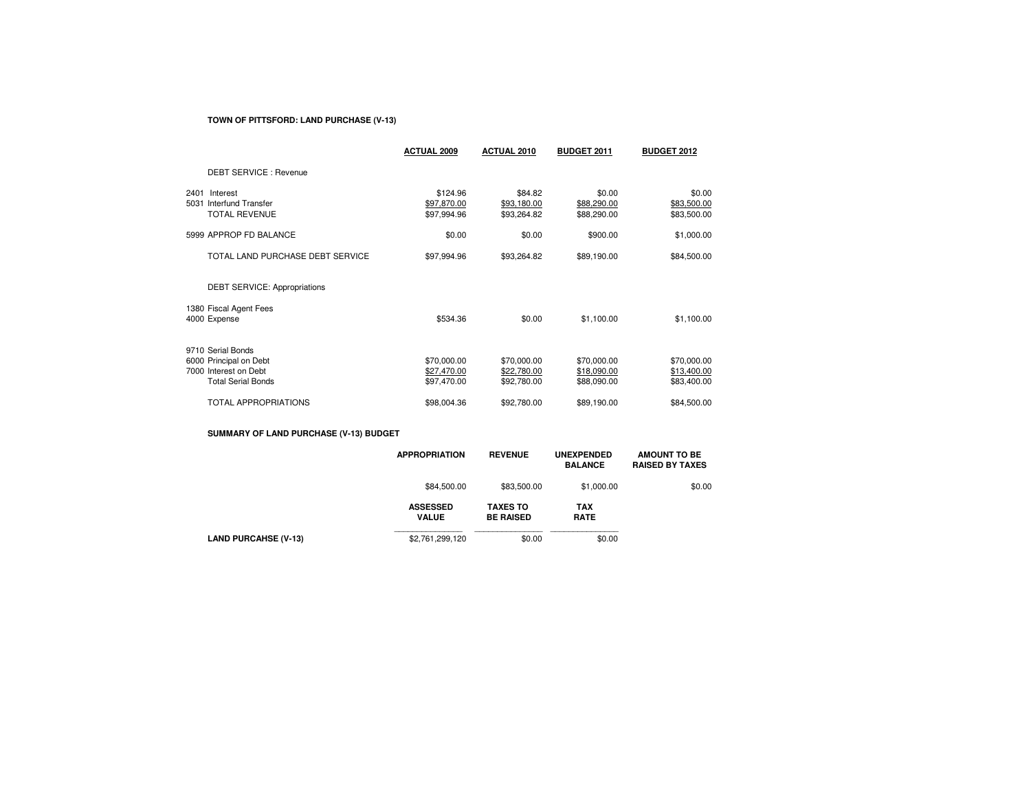## **TOWN OF PITTSFORD: LAND PURCHASE (V-13)**

|                                                                                                   | <b>ACTUAL 2009</b>                        | <b>ACTUAL 2010</b>                        | <b>BUDGET 2011</b>                        | <b>BUDGET 2012</b>                        |
|---------------------------------------------------------------------------------------------------|-------------------------------------------|-------------------------------------------|-------------------------------------------|-------------------------------------------|
| <b>DEBT SERVICE: Revenue</b>                                                                      |                                           |                                           |                                           |                                           |
| Interest<br>2401<br>Interfund Transfer<br>5031<br><b>TOTAL REVENUE</b>                            | \$124.96<br>\$97,870.00<br>\$97,994.96    | \$84.82<br>\$93,180.00<br>\$93,264.82     | \$0.00<br>\$88,290.00<br>\$88,290.00      | \$0.00<br>\$83,500.00<br>\$83,500.00      |
| 5999 APPROP FD BALANCE                                                                            | \$0.00                                    | \$0.00                                    | \$900.00                                  | \$1,000.00                                |
| TOTAL LAND PURCHASE DEBT SERVICE                                                                  | \$97,994.96                               | \$93,264.82                               | \$89,190.00                               | \$84,500.00                               |
| DEBT SERVICE: Appropriations                                                                      |                                           |                                           |                                           |                                           |
| 1380 Fiscal Agent Fees<br>4000 Expense                                                            | \$534.36                                  | \$0.00                                    | \$1,100.00                                | \$1,100.00                                |
| 9710 Serial Bonds<br>6000 Principal on Debt<br>7000 Interest on Debt<br><b>Total Serial Bonds</b> | \$70,000.00<br>\$27,470.00<br>\$97,470.00 | \$70,000.00<br>\$22,780.00<br>\$92,780.00 | \$70,000.00<br>\$18,090.00<br>\$88,090.00 | \$70,000.00<br>\$13,400.00<br>\$83,400.00 |
| <b>TOTAL APPROPRIATIONS</b>                                                                       | \$98,004.36                               | \$92,780.00                               | \$89,190.00                               | \$84,500.00                               |

## **SUMMARY OF LAND PURCHASE (V-13) BUDGET**

|                             | <b>APPROPRIATION</b>            | <b>REVENUE</b>                      | <b>UNEXPENDED</b><br><b>BALANCE</b> | <b>AMOUNT TO BE</b><br><b>RAISED BY TAXES</b> |
|-----------------------------|---------------------------------|-------------------------------------|-------------------------------------|-----------------------------------------------|
|                             | \$84,500.00                     | \$83,500.00                         | \$1,000.00                          | \$0.00                                        |
|                             | <b>ASSESSED</b><br><b>VALUE</b> | <b>TAXES TO</b><br><b>BE RAISED</b> | <b>TAX</b><br><b>RATE</b>           |                                               |
| <b>LAND PURCAHSE (V-13)</b> | \$2,761,299,120                 | \$0.00                              | \$0.00                              |                                               |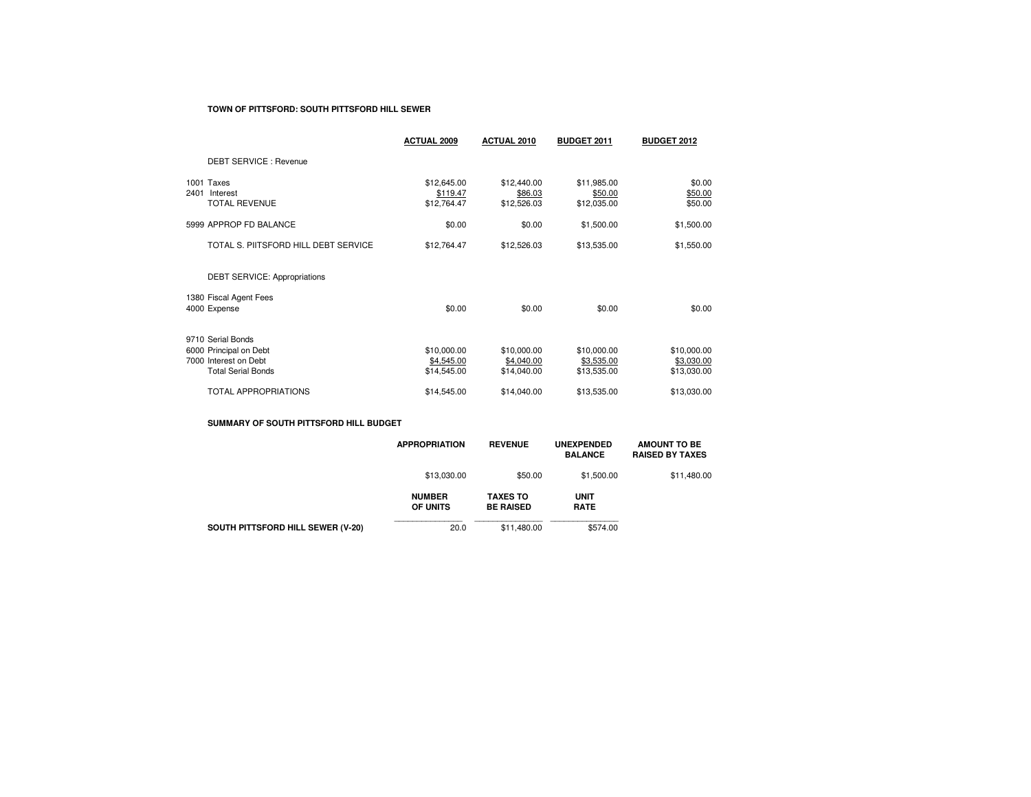#### **TOWN OF PITTSFORD: SOUTH PITTSFORD HILL SEWER**

|                                                                                                   | <b>ACTUAL 2009</b>                       | ACTUAL 2010                              | <b>BUDGET 2011</b>                       | <b>BUDGET 2012</b>                       |
|---------------------------------------------------------------------------------------------------|------------------------------------------|------------------------------------------|------------------------------------------|------------------------------------------|
| <b>DEBT SERVICE: Revenue</b>                                                                      |                                          |                                          |                                          |                                          |
| 1001 Taxes<br>2401<br>Interest<br><b>TOTAL REVENUE</b>                                            | \$12,645.00<br>\$119.47<br>\$12,764.47   | \$12,440.00<br>\$86.03<br>\$12,526.03    | \$11,985.00<br>\$50.00<br>\$12,035.00    | \$0.00<br>\$50.00<br>\$50.00             |
| 5999 APPROP FD BALANCE                                                                            | \$0.00                                   | \$0.00                                   | \$1,500.00                               | \$1,500.00                               |
| TOTAL S. PIITSFORD HILL DEBT SERVICE                                                              | \$12,764.47                              | \$12,526.03                              | \$13,535.00                              | \$1,550.00                               |
| <b>DEBT SERVICE: Appropriations</b>                                                               |                                          |                                          |                                          |                                          |
| 1380 Fiscal Agent Fees<br>4000 Expense                                                            | \$0.00                                   | \$0.00                                   | \$0.00                                   | \$0.00                                   |
| 9710 Serial Bonds<br>6000 Principal on Debt<br>7000 Interest on Debt<br><b>Total Serial Bonds</b> | \$10,000.00<br>\$4,545.00<br>\$14,545.00 | \$10,000.00<br>\$4,040.00<br>\$14,040.00 | \$10,000.00<br>\$3,535.00<br>\$13,535.00 | \$10,000.00<br>\$3,030.00<br>\$13,030.00 |
| TOTAL APPROPRIATIONS                                                                              | \$14,545.00                              | \$14,040.00                              | \$13,535.00                              | \$13,030.00                              |

## **SUMMARY OF SOUTH PITTSFORD HILL BUDGET**

|                                   | <b>APPROPRIATION</b>      | <b>REVENUE</b>                      | <b>UNEXPENDED</b><br><b>BALANCE</b> | <b>AMOUNT TO BE</b><br><b>RAISED BY TAXES</b> |
|-----------------------------------|---------------------------|-------------------------------------|-------------------------------------|-----------------------------------------------|
|                                   | \$13,030,00               | \$50.00                             | \$1,500.00                          | \$11,480.00                                   |
|                                   | <b>NUMBER</b><br>OF UNITS | <b>TAXES TO</b><br><b>BE RAISED</b> | <b>UNIT</b><br><b>RATE</b>          |                                               |
| SOUTH PITTSFORD HILL SEWER (V-20) | 20.0                      | \$11,480.00                         | \$574.00                            |                                               |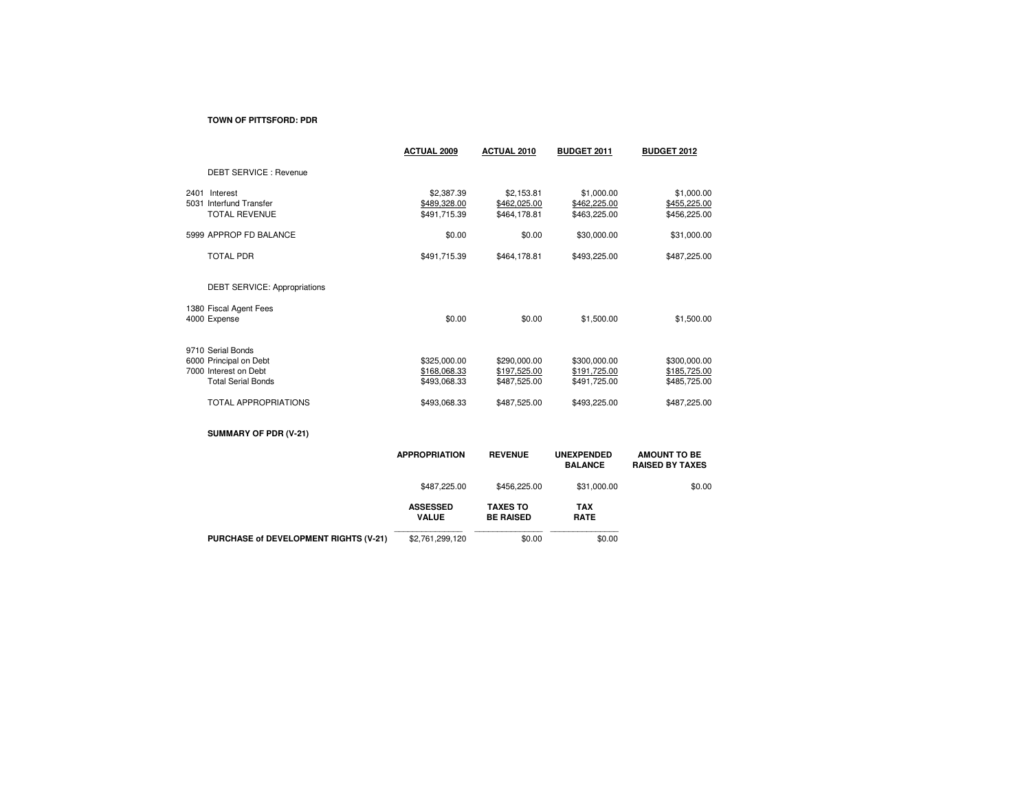#### **TOWN OF PITTSFORD: PDR**

|                                          | <b>ACTUAL 2009</b>         | <b>ACTUAL 2010</b>         | <b>BUDGET 2011</b>                  | <b>BUDGET 2012</b>                            |
|------------------------------------------|----------------------------|----------------------------|-------------------------------------|-----------------------------------------------|
| DEBT SERVICE : Revenue                   |                            |                            |                                     |                                               |
| 2401 Interest<br>5031 Interfund Transfer | \$2,387.39<br>\$489,328.00 | \$2,153.81<br>\$462,025.00 | \$1,000.00<br>\$462,225.00          | \$1,000.00<br>\$455,225.00                    |
| <b>TOTAL REVENUE</b>                     | \$491,715.39               | \$464,178.81               | \$463,225.00                        | \$456,225.00                                  |
| 5999 APPROP FD BALANCE                   | \$0.00                     | \$0.00                     | \$30,000.00                         | \$31,000.00                                   |
| <b>TOTAL PDR</b>                         | \$491,715.39               | \$464,178.81               | \$493,225.00                        | \$487,225.00                                  |
| <b>DEBT SERVICE: Appropriations</b>      |                            |                            |                                     |                                               |
| 1380 Fiscal Agent Fees                   |                            |                            |                                     |                                               |
| 4000 Expense                             | \$0.00                     | \$0.00                     | \$1,500.00                          | \$1,500.00                                    |
| 9710 Serial Bonds                        |                            |                            |                                     |                                               |
| 6000 Principal on Debt                   | \$325,000.00               | \$290,000.00               | \$300,000.00                        | \$300,000.00                                  |
| 7000 Interest on Debt                    | \$168,068.33               | \$197,525.00               | \$191,725.00                        | \$185,725.00                                  |
| <b>Total Serial Bonds</b>                | \$493,068.33               | \$487,525.00               | \$491,725.00                        | \$485,725.00                                  |
| <b>TOTAL APPROPRIATIONS</b>              | \$493,068.33               | \$487,525.00               | \$493,225.00                        | \$487,225.00                                  |
| SUMMARY OF PDR (V-21)                    |                            |                            |                                     |                                               |
|                                          | <b>APPROPRIATION</b>       | <b>REVENUE</b>             | <b>UNEXPENDED</b><br><b>BALANCE</b> | <b>AMOUNT TO BE</b><br><b>RAISED BY TAXES</b> |
|                                          | \$487,225,00               | \$456.225.00               | \$31,000,00                         | \$0.00                                        |

|                                              | \$487.225.00                    | \$456.225.00                        | \$31.000.00               |  |
|----------------------------------------------|---------------------------------|-------------------------------------|---------------------------|--|
|                                              | <b>ASSESSED</b><br><b>VALUE</b> | <b>TAXES TO</b><br><b>BE RAISED</b> | <b>TAX</b><br><b>RATE</b> |  |
| <b>PURCHASE of DEVELOPMENT RIGHTS (V-21)</b> | \$2,761,299,120                 | \$0.00                              | \$0.00                    |  |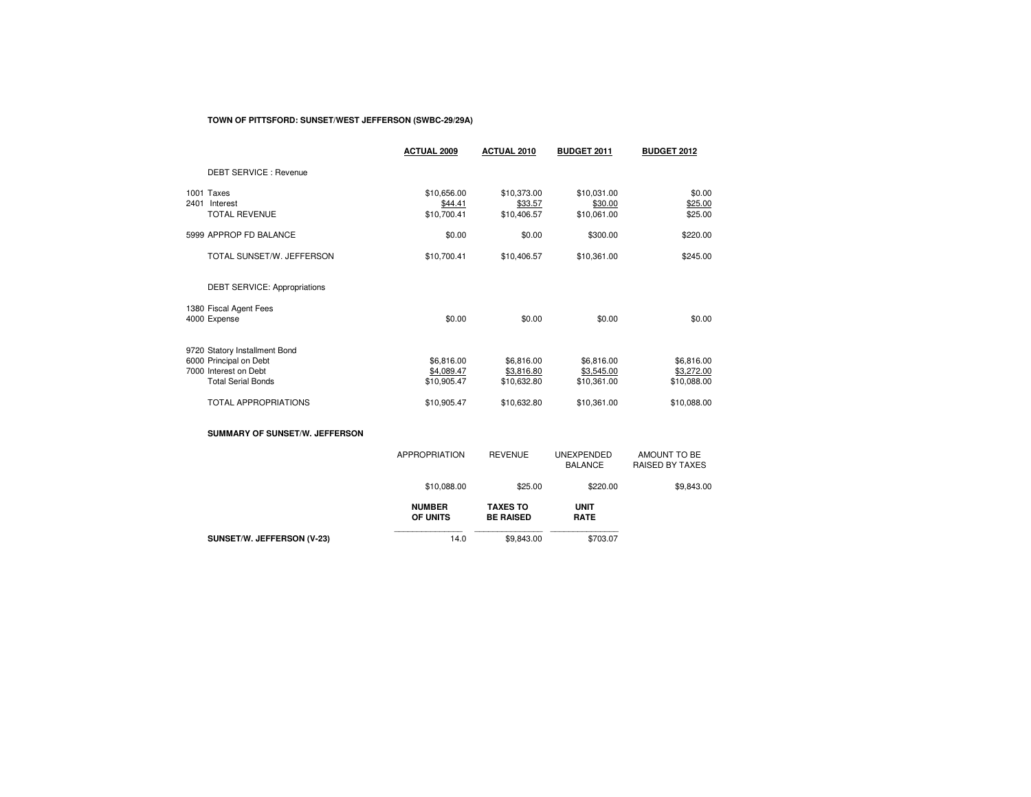## **TOWN OF PITTSFORD: SUNSET/WEST JEFFERSON (SWBC-29/29A)**

|                                                     | <b>ACTUAL 2009</b>                    | <b>ACTUAL 2010</b>                    | <b>BUDGET 2011</b>                    | <b>BUDGET 2012</b>                     |
|-----------------------------------------------------|---------------------------------------|---------------------------------------|---------------------------------------|----------------------------------------|
| <b>DEBT SERVICE: Revenue</b>                        |                                       |                                       |                                       |                                        |
| 1001 Taxes<br>2401 Interest<br><b>TOTAL REVENUE</b> | \$10,656.00<br>\$44.41<br>\$10,700.41 | \$10,373.00<br>\$33.57<br>\$10,406.57 | \$10,031.00<br>\$30.00<br>\$10,061.00 | \$0.00<br>\$25.00<br>\$25.00           |
|                                                     |                                       |                                       |                                       |                                        |
| 5999 APPROP FD BALANCE                              | \$0.00                                | \$0.00                                | \$300.00                              | \$220.00                               |
| TOTAL SUNSET/W. JEFFERSON                           | \$10,700.41                           | \$10,406.57                           | \$10,361.00                           | \$245.00                               |
| <b>DEBT SERVICE: Appropriations</b>                 |                                       |                                       |                                       |                                        |
| 1380 Fiscal Agent Fees<br>4000 Expense              | \$0.00                                | \$0.00                                | \$0.00                                | \$0.00                                 |
| 9720 Statory Installment Bond                       |                                       |                                       |                                       |                                        |
| 6000 Principal on Debt                              | \$6,816.00                            | \$6,816.00                            | \$6,816.00                            | \$6,816.00                             |
| 7000 Interest on Debt<br><b>Total Serial Bonds</b>  | \$4,089.47<br>\$10,905.47             | \$3,816.80<br>\$10,632.80             | \$3,545.00<br>\$10,361.00             | \$3,272.00<br>\$10,088.00              |
|                                                     |                                       |                                       |                                       |                                        |
| <b>TOTAL APPROPRIATIONS</b>                         | \$10,905.47                           | \$10,632.80                           | \$10,361.00                           | \$10,088.00                            |
| SUMMARY OF SUNSET/W. JEFFERSON                      |                                       |                                       |                                       |                                        |
|                                                     | <b>APPROPRIATION</b>                  | <b>REVENUE</b>                        | <b>UNEXPENDED</b><br><b>BALANCE</b>   | AMOUNT TO BE<br><b>RAISED BY TAXES</b> |
|                                                     | \$10,088.00                           | \$25.00                               | \$220.00                              | \$9,843.00                             |
|                                                     | <b>NUMBER</b><br>OF UNITS             | <b>TAXES TO</b><br><b>BE RAISED</b>   | <b>UNIT</b><br><b>RATE</b>            |                                        |

 $$703.07$ **SUNSET/W. JEFFERSON (V-23)**14.0 \$9,843.00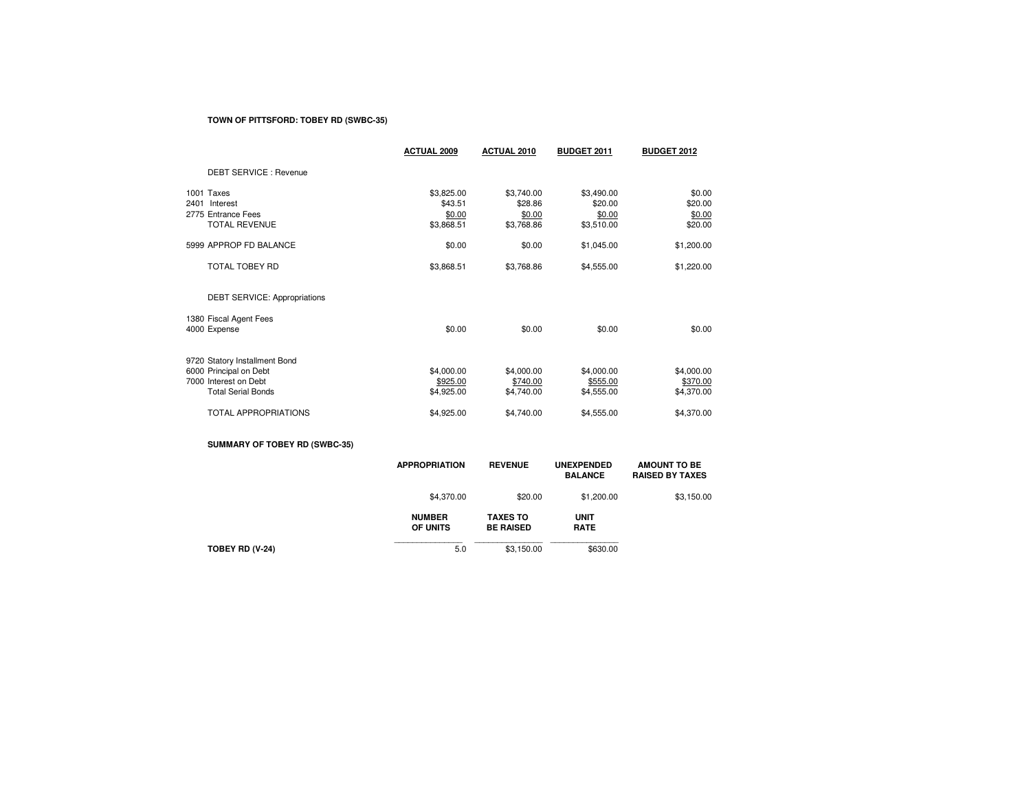## **TOWN OF PITTSFORD: TOBEY RD (SWBC-35)**

|      |                                | <b>ACTUAL 2009</b>   | <b>ACTUAL 2010</b>   | <b>BUDGET 2011</b>   | <b>BUDGET 2012</b> |
|------|--------------------------------|----------------------|----------------------|----------------------|--------------------|
|      | DEBT SERVICE : Revenue         |                      |                      |                      |                    |
|      | 1001 Taxes                     | \$3,825.00           | \$3,740.00           | \$3,490.00           | \$0.00             |
| 2401 | Interest<br>2775 Entrance Fees | \$43.51              | \$28.86              | \$20.00              | \$20.00            |
|      | <b>TOTAL REVENUE</b>           | \$0.00<br>\$3,868.51 | \$0.00<br>\$3,768.86 | \$0.00<br>\$3,510.00 | \$0.00<br>\$20.00  |
|      |                                |                      |                      |                      |                    |
|      | 5999 APPROP FD BALANCE         | \$0.00               | \$0.00               | \$1,045.00           | \$1,200.00         |
|      | <b>TOTAL TOBEY RD</b>          | \$3,868.51           | \$3,768.86           | \$4,555.00           | \$1,220.00         |
|      | DEBT SERVICE: Appropriations   |                      |                      |                      |                    |
|      | 1380 Fiscal Agent Fees         |                      |                      |                      |                    |
|      | 4000 Expense                   | \$0.00               | \$0.00               | \$0.00               | \$0.00             |
|      | 9720 Statory Installment Bond  |                      |                      |                      |                    |
|      | 6000 Principal on Debt         | \$4,000.00           | \$4,000.00           | \$4,000.00           | \$4,000.00         |
|      | 7000 Interest on Debt          | \$925.00             | \$740.00             | \$555.00             | \$370.00           |
|      | <b>Total Serial Bonds</b>      | \$4,925.00           | \$4,740.00           | \$4,555.00           | \$4,370.00         |
|      | <b>TOTAL APPROPRIATIONS</b>    | \$4,925.00           | \$4,740.00           | \$4,555.00           | \$4,370.00         |
|      |                                |                      |                      |                      |                    |

# **SUMMARY OF TOBEY RD (SWBC-35)**

|                 | <b>APPROPRIATION</b>      | <b>REVENUE</b>                      | <b>UNEXPENDED</b><br><b>BALANCE</b> | <b>AMOUNT TO BE</b><br><b>RAISED BY TAXES</b> |
|-----------------|---------------------------|-------------------------------------|-------------------------------------|-----------------------------------------------|
|                 | \$4,370.00                | \$20.00                             | \$1,200.00                          | \$3,150.00                                    |
|                 | <b>NUMBER</b><br>OF UNITS | <b>TAXES TO</b><br><b>BE RAISED</b> | <b>UNIT</b><br><b>RATE</b>          |                                               |
| TOBEY RD (V-24) | 5.0                       | \$3,150.00                          | \$630.00                            |                                               |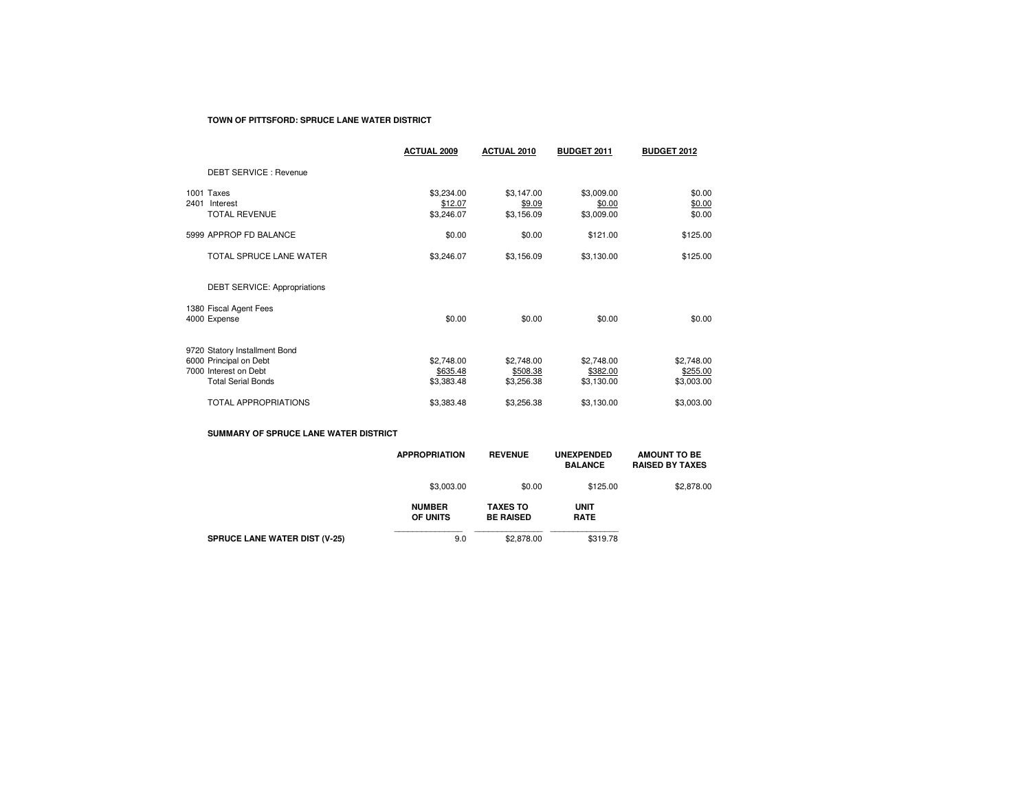#### **TOWN OF PITTSFORD: SPRUCE LANE WATER DISTRICT**

|                                                                                                               | <b>ACTUAL 2009</b>                   | <b>ACTUAL 2010</b>                   | <b>BUDGET 2011</b>                   | <b>BUDGET 2012</b>                   |
|---------------------------------------------------------------------------------------------------------------|--------------------------------------|--------------------------------------|--------------------------------------|--------------------------------------|
| <b>DEBT SERVICE: Revenue</b>                                                                                  |                                      |                                      |                                      |                                      |
| 1001 Taxes<br>2401<br>Interest<br><b>TOTAL REVENUE</b>                                                        | \$3,234.00<br>\$12.07<br>\$3,246.07  | \$3,147.00<br>\$9.09<br>\$3,156.09   | \$3,009.00<br>\$0.00<br>\$3,009.00   | \$0.00<br>\$0.00<br>\$0.00           |
| 5999 APPROP FD BALANCE                                                                                        | \$0.00                               | \$0.00                               | \$121.00                             | \$125.00                             |
| TOTAL SPRUCE LANE WATER                                                                                       | \$3,246.07                           | \$3,156.09                           | \$3,130.00                           | \$125.00                             |
| DEBT SERVICE: Appropriations                                                                                  |                                      |                                      |                                      |                                      |
| 1380 Fiscal Agent Fees<br>4000 Expense                                                                        | \$0.00                               | \$0.00                               | \$0.00                               | \$0.00                               |
| 9720 Statory Installment Bond<br>6000 Principal on Debt<br>7000 Interest on Debt<br><b>Total Serial Bonds</b> | \$2,748.00<br>\$635.48<br>\$3,383.48 | \$2,748.00<br>\$508.38<br>\$3,256.38 | \$2,748.00<br>\$382.00<br>\$3,130.00 | \$2,748.00<br>\$255.00<br>\$3,003.00 |
| <b>TOTAL APPROPRIATIONS</b>                                                                                   | \$3,383.48                           | \$3,256.38                           | \$3,130.00                           | \$3,003.00                           |

## **SUMMARY OF SPRUCE LANE WATER DISTRICT**

|                                      | <b>APPROPRIATION</b>      | <b>REVENUE</b>                      | <b>UNEXPENDED</b><br><b>BALANCE</b> | <b>AMOUNT TO BE</b><br><b>RAISED BY TAXES</b> |
|--------------------------------------|---------------------------|-------------------------------------|-------------------------------------|-----------------------------------------------|
|                                      | \$3,003.00                | \$0.00                              | \$125.00                            | \$2,878.00                                    |
|                                      | <b>NUMBER</b><br>OF UNITS | <b>TAXES TO</b><br><b>BE RAISED</b> | <b>UNIT</b><br><b>RATE</b>          |                                               |
| <b>SPRUCE LANE WATER DIST (V-25)</b> | 9.0                       | \$2,878,00                          | \$319.78                            |                                               |